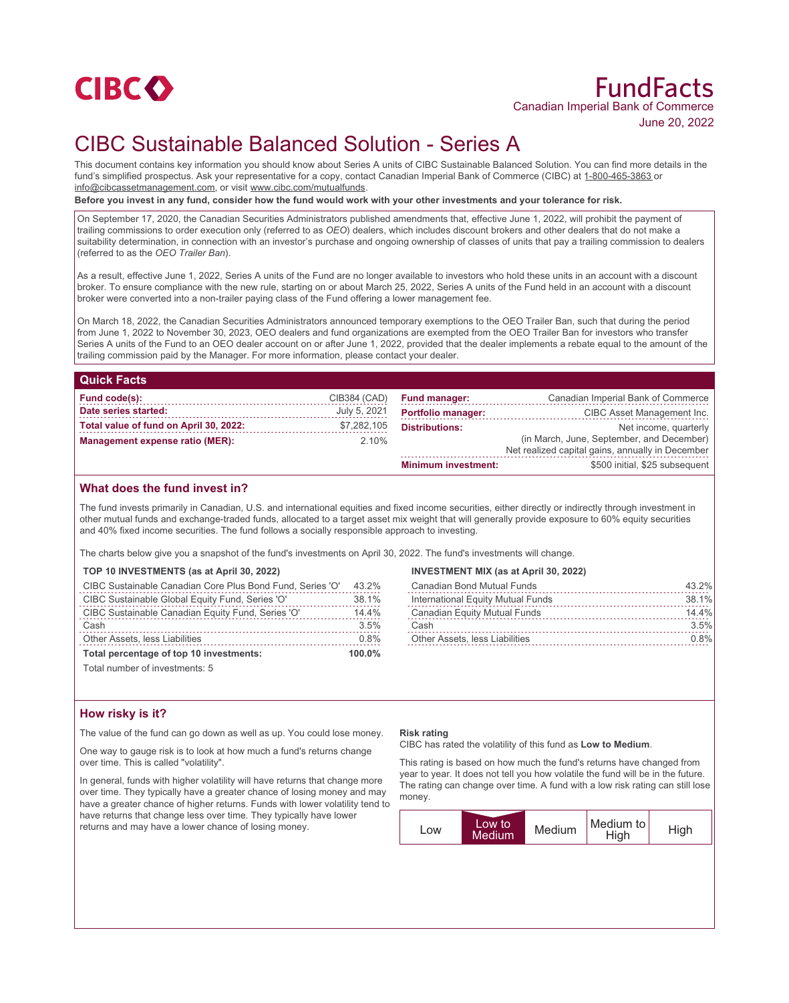

# CIBC Sustainable Balanced Solution - Series A

This document contains key information you should know about Series A units of CIBC Sustainable Balanced Solution. You can find more details in the fund's simplified prospectus. Ask your representative for a copy, contact Canadian Imperial Bank of Commerce (CIBC) at 1-800-465-3863 or info@cibcassetmanagement.com, or visit www.cibc.com/mutualfunds.

**Before you invest in any fund, consider how the fund would work with your other investments and your tolerance for risk.**

On September 17, 2020, the Canadian Securities Administrators published amendments that, effective June 1, 2022, will prohibit the payment of trailing commissions to order execution only (referred to as *OEO*) dealers, which includes discount brokers and other dealers that do not make a suitability determination, in connection with an investor's purchase and ongoing ownership of classes of units that pay a trailing commission to dealers (referred to as the *OEO Trailer Ban*).

As a result, effective June 1, 2022, Series A units of the Fund are no longer available to investors who hold these units in an account with a discount broker. To ensure compliance with the new rule, starting on or about March 25, 2022, Series A units of the Fund held in an account with a discount broker were converted into a non-trailer paying class of the Fund offering a lower management fee.

On March 18, 2022, the Canadian Securities Administrators announced temporary exemptions to the OEO Trailer Ban, such that during the period from June 1, 2022 to November 30, 2023, OEO dealers and fund organizations are exempted from the OEO Trailer Ban for investors who transfer Series A units of the Fund to an OEO dealer account on or after June 1, 2022, provided that the dealer implements a rebate equal to the amount of the trailing commission paid by the Manager. For more information, please contact your dealer.

| <b>Quick Facts</b>                     |              |                            |                                                                                               |
|----------------------------------------|--------------|----------------------------|-----------------------------------------------------------------------------------------------|
| Fund code(s):                          | CIB384 (CAD) | <b>Fund manager:</b>       | Canadian Imperial Bank of Commerce                                                            |
| Date series started:                   | July 5, 2021 | <b>Portfolio manager:</b>  | CIBC Asset Management Inc.                                                                    |
| Total value of fund on April 30, 2022: | \$7,282,105  | <b>Distributions:</b>      | Net income, quarterly                                                                         |
| Management expense ratio (MER):        | $2.10\%$     |                            | (in March, June, September, and December)<br>Net realized capital gains, annually in December |
|                                        |              | <b>Minimum investment:</b> | \$500 initial, \$25 subsequent                                                                |

## **What does the fund invest in?**

The fund invests primarily in Canadian, U.S. and international equities and fixed income securities, either directly or indirectly through investment in other mutual funds and exchange-traded funds, allocated to a target asset mix weight that will generally provide exposure to 60% equity securities and 40% fixed income securities. The fund follows a socially responsible approach to investing.

The charts below give you a snapshot of the fund's investments on April 30, 2022. The fund's investments will change.

#### **TOP 10 INVESTMENTS (as at April 30, 2022)**

| CIBC Sustainable Canadian Core Plus Bond Fund, Series 'O' | 43.2% |
|-----------------------------------------------------------|-------|
| CIBC Sustainable Global Equity Fund, Series 'O'           | 38.1% |
| CIBC Sustainable Canadian Equity Fund, Series 'O'         | 14.4% |
| Cash                                                      | 3.5%  |
| Other Assets, less Liabilities                            | 0.8%  |
| Total percentage of top 10 investments:                   |       |

Total number of investments: 5

## **How risky is it?**

The value of the fund can go down as well as up. You could lose money.

One way to gauge risk is to look at how much a fund's returns change over time. This is called "volatility".

In general, funds with higher volatility will have returns that change more over time. They typically have a greater chance of losing money and may have a greater chance of higher returns. Funds with lower volatility tend to have returns that change less over time. They typically have lower returns and may have a lower chance of losing money.

## **INVESTMENT MIX (as at April 30, 2022)**

| Canadian Bond Mutual Funds        | 43.2%   |
|-----------------------------------|---------|
| International Equity Mutual Funds | 38.1%   |
| Canadian Equity Mutual Funds      | 14.4%   |
| Cash                              | 3.5%    |
| Other Assets, less Liabilities    | $0.8\%$ |

#### **Risk rating**

CIBC has rated the volatility of this fund as **Low to Medium**.

This rating is based on how much the fund's returns have changed from year to year. It does not tell you how volatile the fund will be in the future. The rating can change over time. A fund with a low risk rating can still lose money.

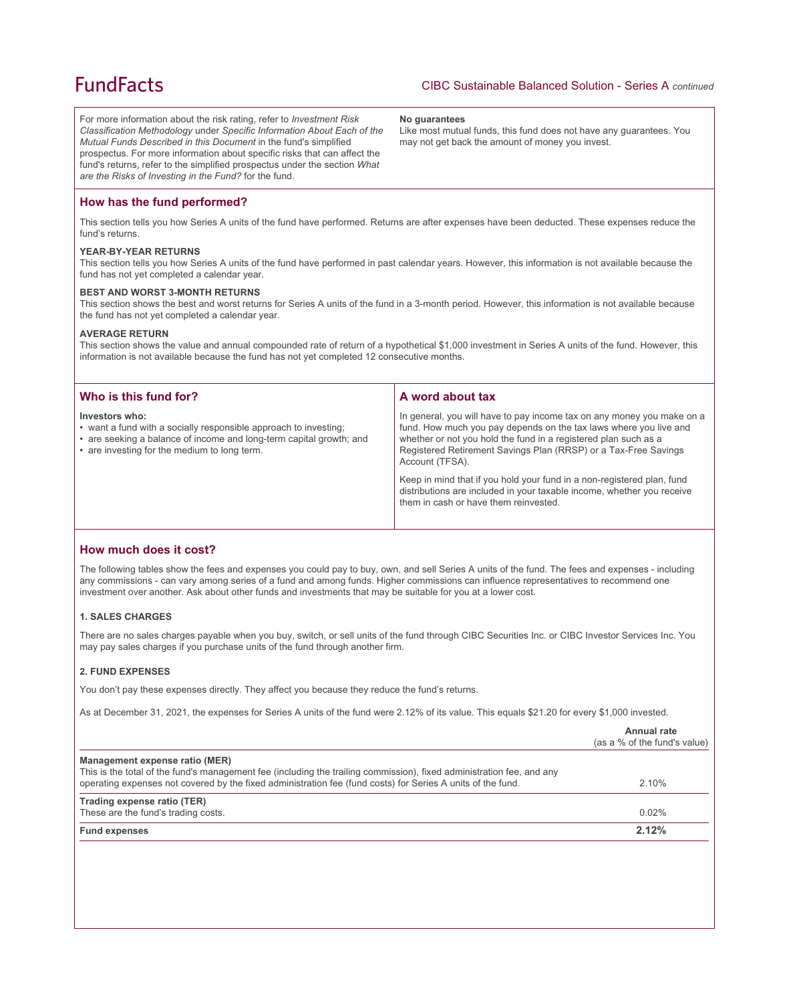## **FundFacts**

For more information about the risk rating, refer to *Investment Risk Classification Methodology* under *Specific Information About Each of the Mutual Funds Described in this Document* in the fund's simplified prospectus. For more information about specific risks that can affect the fund's returns, refer to the simplified prospectus under the section *What are the Risks of Investing in the Fund?* for the fund.

#### **No guarantees**

Like most mutual funds, this fund does not have any guarantees. You may not get back the amount of money you invest.

## **How has the fund performed?**

This section tells you how Series A units of the fund have performed. Returns are after expenses have been deducted. These expenses reduce the fund's returns.

#### **YEAR-BY-YEAR RETURNS**

This section tells you how Series A units of the fund have performed in past calendar years. However, this information is not available because the fund has not yet completed a calendar year.

#### **BEST AND WORST 3-MONTH RETURNS**

This section shows the best and worst returns for Series A units of the fund in a 3-month period. However, this information is not available because the fund has not yet completed a calendar year.

#### **AVERAGE RETURN**

This section shows the value and annual compounded rate of return of a hypothetical \$1,000 investment in Series A units of the fund. However, this information is not available because the fund has not yet completed 12 consecutive months.

| Who is this fund for?                                                                                                                                                                                     | A word about tax                                                                                                                                                                                                                                                                                     |  |
|-----------------------------------------------------------------------------------------------------------------------------------------------------------------------------------------------------------|------------------------------------------------------------------------------------------------------------------------------------------------------------------------------------------------------------------------------------------------------------------------------------------------------|--|
| Investors who:<br>• want a fund with a socially responsible approach to investing;<br>• are seeking a balance of income and long-term capital growth; and<br>• are investing for the medium to long term. | In general, you will have to pay income tax on any money you make on a<br>fund. How much you pay depends on the tax laws where you live and<br>whether or not you hold the fund in a registered plan such as a<br>Registered Retirement Savings Plan (RRSP) or a Tax-Free Savings<br>Account (TFSA). |  |
|                                                                                                                                                                                                           | Keep in mind that if you hold your fund in a non-registered plan, fund<br>distributions are included in your taxable income, whether you receive<br>them in cash or have them reinvested.                                                                                                            |  |

### **How much does it cost?**

The following tables show the fees and expenses you could pay to buy, own, and sell Series A units of the fund. The fees and expenses - including any commissions - can vary among series of a fund and among funds. Higher commissions can influence representatives to recommend one investment over another. Ask about other funds and investments that may be suitable for you at a lower cost.

#### **1. SALES CHARGES**

There are no sales charges payable when you buy, switch, or sell units of the fund through CIBC Securities Inc. or CIBC Investor Services Inc. You may pay sales charges if you purchase units of the fund through another firm.

#### **2. FUND EXPENSES**

You don't pay these expenses directly. They affect you because they reduce the fund's returns.

As at December 31, 2021, the expenses for Series A units of the fund were 2.12% of its value. This equals \$21.20 for every \$1,000 invested.

|                                                                                                                                                                                                                                                                        | Annual rate<br>(as a % of the fund's value) |
|------------------------------------------------------------------------------------------------------------------------------------------------------------------------------------------------------------------------------------------------------------------------|---------------------------------------------|
| Management expense ratio (MER)<br>This is the total of the fund's management fee (including the trailing commission), fixed administration fee, and any<br>operating expenses not covered by the fixed administration fee (fund costs) for Series A units of the fund. | 2.10%                                       |
| Trading expense ratio (TER)<br>These are the fund's trading costs.                                                                                                                                                                                                     | $0.02\%$                                    |
| <b>Fund expenses</b>                                                                                                                                                                                                                                                   | 2.12%                                       |